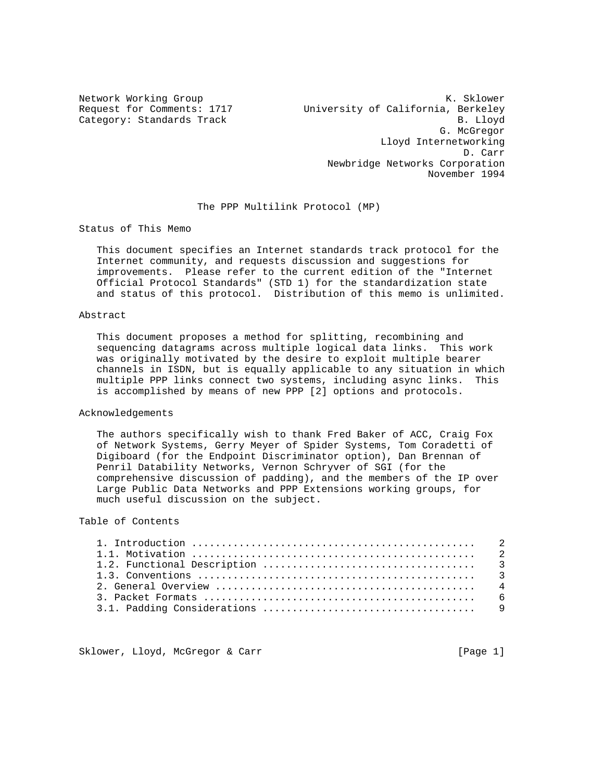Network Working Group Network Working Group Network Channel Muslim Network Channel Muslim Network Channel Muslim Request for Comments: 1717 University of California, Berkeley Category: Standards Track B. Lloyd G. McGregor Lloyd Internetworking D. Carr Newbridge Networks Corporation November 1994

### The PPP Multilink Protocol (MP)

Status of This Memo

 This document specifies an Internet standards track protocol for the Internet community, and requests discussion and suggestions for improvements. Please refer to the current edition of the "Internet Official Protocol Standards" (STD 1) for the standardization state and status of this protocol. Distribution of this memo is unlimited.

### Abstract

 This document proposes a method for splitting, recombining and sequencing datagrams across multiple logical data links. This work was originally motivated by the desire to exploit multiple bearer channels in ISDN, but is equally applicable to any situation in which multiple PPP links connect two systems, including async links. This is accomplished by means of new PPP [2] options and protocols.

#### Acknowledgements

 The authors specifically wish to thank Fred Baker of ACC, Craig Fox of Network Systems, Gerry Meyer of Spider Systems, Tom Coradetti of Digiboard (for the Endpoint Discriminator option), Dan Brennan of Penril Datability Networks, Vernon Schryver of SGI (for the comprehensive discussion of padding), and the members of the IP over Large Public Data Networks and PPP Extensions working groups, for much useful discussion on the subject.

## Table of Contents

Sklower, Lloyd, McGregor & Carr [Page 1]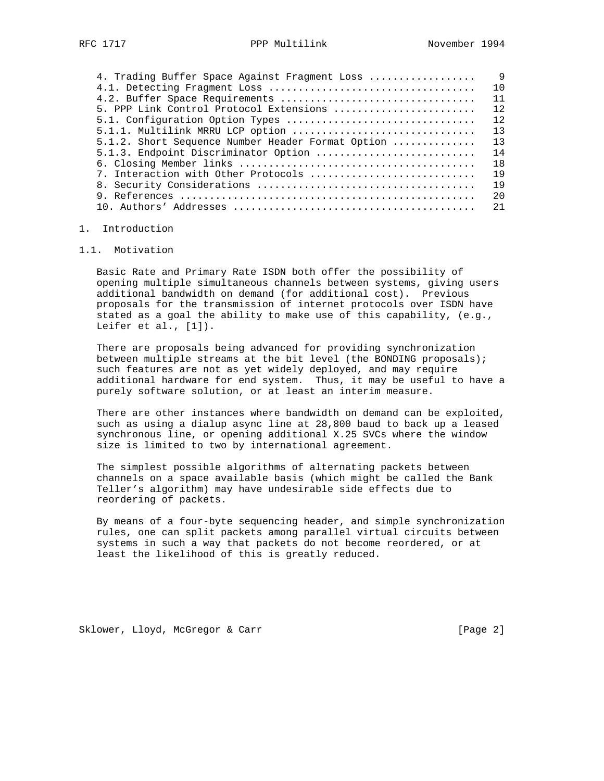| 4. Trading Buffer Space Against Fragment Loss     | 9   |
|---------------------------------------------------|-----|
|                                                   | 10  |
| 4.2. Buffer Space Requirements                    | 11  |
| 5. PPP Link Control Protocol Extensions           | 12  |
| 5.1. Configuration Option Types                   | 12  |
| 5.1.1. Multilink MRRU LCP option                  | 13  |
| 5.1.2. Short Sequence Number Header Format Option | 13  |
| 5.1.3. Endpoint Discriminator Option              | 14  |
|                                                   | 18  |
| 7. Interaction with Other Protocols               | 19  |
|                                                   | 19  |
|                                                   | 2.0 |
|                                                   | 21  |
|                                                   |     |

### 1. Introduction

### 1.1. Motivation

 Basic Rate and Primary Rate ISDN both offer the possibility of opening multiple simultaneous channels between systems, giving users additional bandwidth on demand (for additional cost). Previous proposals for the transmission of internet protocols over ISDN have stated as a goal the ability to make use of this capability, (e.g., Leifer et al., [1]).

 There are proposals being advanced for providing synchronization between multiple streams at the bit level (the BONDING proposals); such features are not as yet widely deployed, and may require additional hardware for end system. Thus, it may be useful to have a purely software solution, or at least an interim measure.

 There are other instances where bandwidth on demand can be exploited, such as using a dialup async line at 28,800 baud to back up a leased synchronous line, or opening additional X.25 SVCs where the window size is limited to two by international agreement.

 The simplest possible algorithms of alternating packets between channels on a space available basis (which might be called the Bank Teller's algorithm) may have undesirable side effects due to reordering of packets.

 By means of a four-byte sequencing header, and simple synchronization rules, one can split packets among parallel virtual circuits between systems in such a way that packets do not become reordered, or at least the likelihood of this is greatly reduced.

Sklower, Lloyd, McGregor & Carr [Page 2]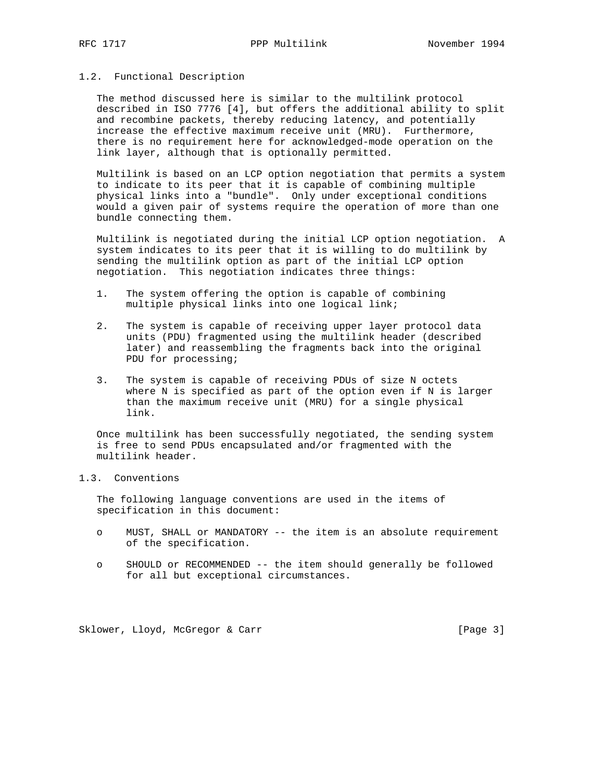### 1.2. Functional Description

 The method discussed here is similar to the multilink protocol described in ISO 7776 [4], but offers the additional ability to split and recombine packets, thereby reducing latency, and potentially increase the effective maximum receive unit (MRU). Furthermore, there is no requirement here for acknowledged-mode operation on the link layer, although that is optionally permitted.

 Multilink is based on an LCP option negotiation that permits a system to indicate to its peer that it is capable of combining multiple physical links into a "bundle". Only under exceptional conditions would a given pair of systems require the operation of more than one bundle connecting them.

 Multilink is negotiated during the initial LCP option negotiation. A system indicates to its peer that it is willing to do multilink by sending the multilink option as part of the initial LCP option negotiation. This negotiation indicates three things:

- 1. The system offering the option is capable of combining multiple physical links into one logical link;
- 2. The system is capable of receiving upper layer protocol data units (PDU) fragmented using the multilink header (described later) and reassembling the fragments back into the original PDU for processing;
- 3. The system is capable of receiving PDUs of size N octets where N is specified as part of the option even if N is larger than the maximum receive unit (MRU) for a single physical link.

 Once multilink has been successfully negotiated, the sending system is free to send PDUs encapsulated and/or fragmented with the multilink header.

## 1.3. Conventions

 The following language conventions are used in the items of specification in this document:

- o MUST, SHALL or MANDATORY -- the item is an absolute requirement of the specification.
- o SHOULD or RECOMMENDED -- the item should generally be followed for all but exceptional circumstances.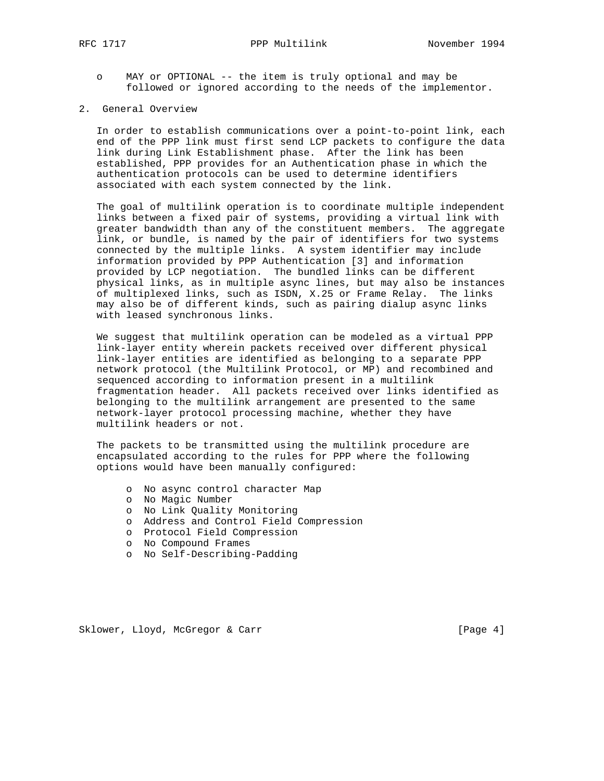- o MAY or OPTIONAL -- the item is truly optional and may be followed or ignored according to the needs of the implementor.
- 2. General Overview

 In order to establish communications over a point-to-point link, each end of the PPP link must first send LCP packets to configure the data link during Link Establishment phase. After the link has been established, PPP provides for an Authentication phase in which the authentication protocols can be used to determine identifiers associated with each system connected by the link.

 The goal of multilink operation is to coordinate multiple independent links between a fixed pair of systems, providing a virtual link with greater bandwidth than any of the constituent members. The aggregate link, or bundle, is named by the pair of identifiers for two systems connected by the multiple links. A system identifier may include information provided by PPP Authentication [3] and information provided by LCP negotiation. The bundled links can be different physical links, as in multiple async lines, but may also be instances of multiplexed links, such as ISDN, X.25 or Frame Relay. The links may also be of different kinds, such as pairing dialup async links with leased synchronous links.

 We suggest that multilink operation can be modeled as a virtual PPP link-layer entity wherein packets received over different physical link-layer entities are identified as belonging to a separate PPP network protocol (the Multilink Protocol, or MP) and recombined and sequenced according to information present in a multilink fragmentation header. All packets received over links identified as belonging to the multilink arrangement are presented to the same network-layer protocol processing machine, whether they have multilink headers or not.

 The packets to be transmitted using the multilink procedure are encapsulated according to the rules for PPP where the following options would have been manually configured:

- o No async control character Map
- o No Magic Number
- o No Link Quality Monitoring
- o Address and Control Field Compression
- o Protocol Field Compression
- o No Compound Frames
- o No Self-Describing-Padding

Sklower, Lloyd, McGregor & Carr [Page 4]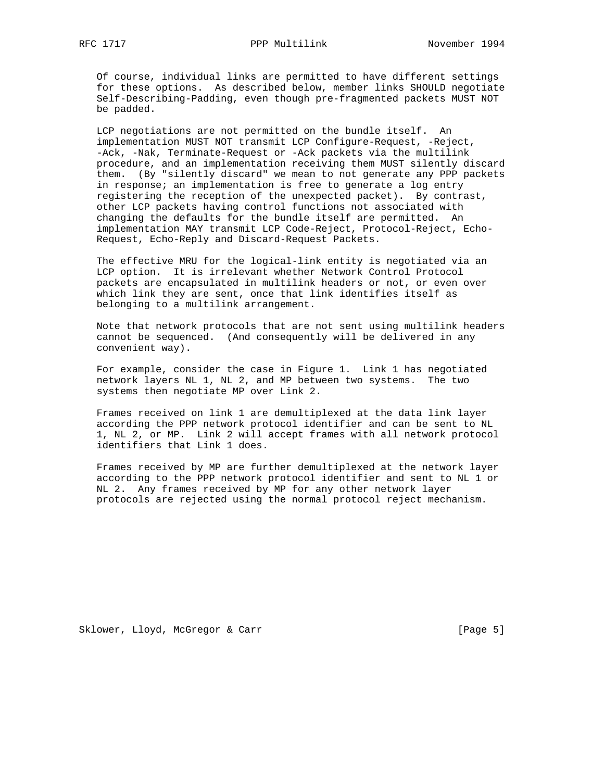Of course, individual links are permitted to have different settings for these options. As described below, member links SHOULD negotiate Self-Describing-Padding, even though pre-fragmented packets MUST NOT be padded.

 LCP negotiations are not permitted on the bundle itself. An implementation MUST NOT transmit LCP Configure-Request, -Reject, -Ack, -Nak, Terminate-Request or -Ack packets via the multilink procedure, and an implementation receiving them MUST silently discard them. (By "silently discard" we mean to not generate any PPP packets in response; an implementation is free to generate a log entry registering the reception of the unexpected packet). By contrast, other LCP packets having control functions not associated with changing the defaults for the bundle itself are permitted. An implementation MAY transmit LCP Code-Reject, Protocol-Reject, Echo- Request, Echo-Reply and Discard-Request Packets.

 The effective MRU for the logical-link entity is negotiated via an LCP option. It is irrelevant whether Network Control Protocol packets are encapsulated in multilink headers or not, or even over which link they are sent, once that link identifies itself as belonging to a multilink arrangement.

 Note that network protocols that are not sent using multilink headers cannot be sequenced. (And consequently will be delivered in any convenient way).

 For example, consider the case in Figure 1. Link 1 has negotiated network layers NL 1, NL 2, and MP between two systems. The two systems then negotiate MP over Link 2.

 Frames received on link 1 are demultiplexed at the data link layer according the PPP network protocol identifier and can be sent to NL 1, NL 2, or MP. Link 2 will accept frames with all network protocol identifiers that Link 1 does.

 Frames received by MP are further demultiplexed at the network layer according to the PPP network protocol identifier and sent to NL 1 or NL 2. Any frames received by MP for any other network layer protocols are rejected using the normal protocol reject mechanism.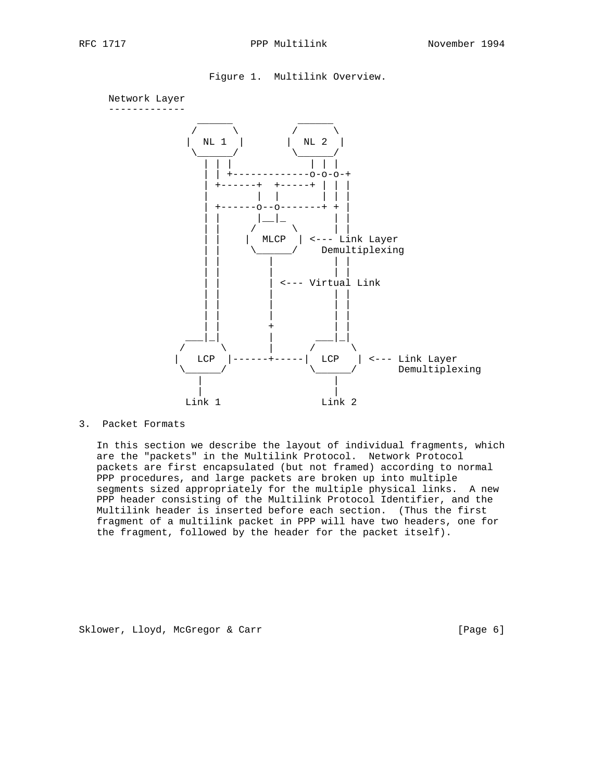





### 3. Packet Formats

 In this section we describe the layout of individual fragments, which are the "packets" in the Multilink Protocol. Network Protocol packets are first encapsulated (but not framed) according to normal PPP procedures, and large packets are broken up into multiple segments sized appropriately for the multiple physical links. A new PPP header consisting of the Multilink Protocol Identifier, and the Multilink header is inserted before each section. (Thus the first fragment of a multilink packet in PPP will have two headers, one for the fragment, followed by the header for the packet itself).

Sklower, Lloyd, McGregor & Carr [Page 6]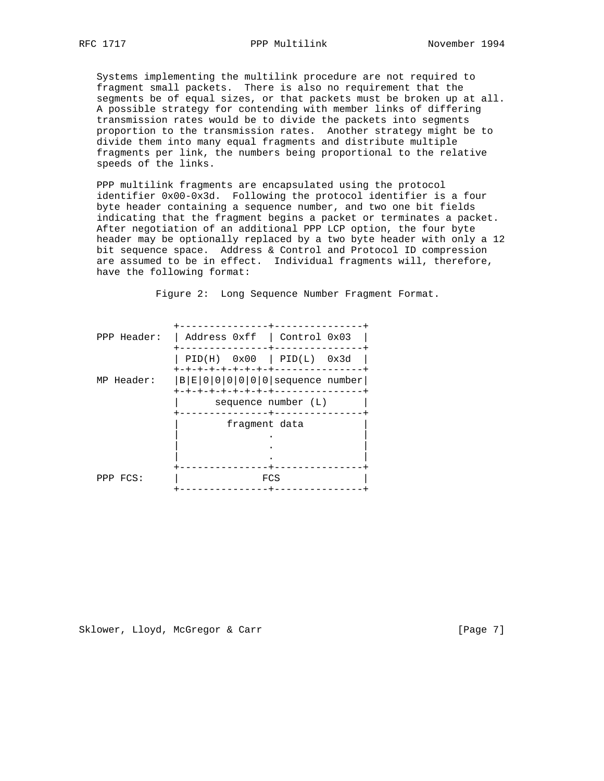Systems implementing the multilink procedure are not required to fragment small packets. There is also no requirement that the segments be of equal sizes, or that packets must be broken up at all. A possible strategy for contending with member links of differing transmission rates would be to divide the packets into segments proportion to the transmission rates. Another strategy might be to divide them into many equal fragments and distribute multiple fragments per link, the numbers being proportional to the relative speeds of the links.

 PPP multilink fragments are encapsulated using the protocol identifier 0x00-0x3d. Following the protocol identifier is a four byte header containing a sequence number, and two one bit fields indicating that the fragment begins a packet or terminates a packet. After negotiation of an additional PPP LCP option, the four byte header may be optionally replaced by a two byte header with only a 12 bit sequence space. Address & Control and Protocol ID compression are assumed to be in effect. Individual fragments will, therefore, have the following format:

| PPP Header: | Address 0xff   Control 0x03                                  |
|-------------|--------------------------------------------------------------|
|             | $PID(H)$ $0x00$   $PID(L)$ $0x3d$<br>+-+-+-+-+-+-+-+-+---    |
| MP Header:  | $ B E 0 0 0 0 0 0 $ sequence number<br>+-+-+-+-+-+-+-+-+---- |
|             | sequence number (L)                                          |
|             | fragment data                                                |
|             |                                                              |
|             |                                                              |
|             |                                                              |
|             |                                                              |
| PPP FCS:    | FCS                                                          |
|             |                                                              |

Figure 2: Long Sequence Number Fragment Format.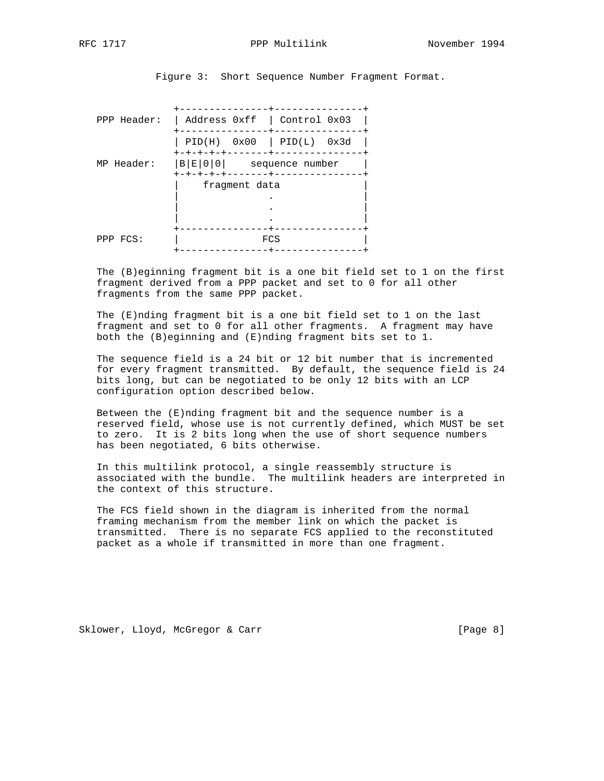Figure 3: Short Sequence Number Fragment Format.

| PPP Header: | Address 0xff   Control 0x03       |
|-------------|-----------------------------------|
|             |                                   |
|             | $PID(H)$ $0x00$   $PID(L)$ $0x3d$ |
|             | キーキーキーキーキー                        |
| MP Header:  | $ B E 0 0 $ sequence number       |
|             |                                   |
|             | fragment data                     |
|             |                                   |
|             |                                   |
|             |                                   |
|             |                                   |
| PPP FCS:    | FCS                               |
|             |                                   |

 The (B)eginning fragment bit is a one bit field set to 1 on the first fragment derived from a PPP packet and set to 0 for all other fragments from the same PPP packet.

 The (E)nding fragment bit is a one bit field set to 1 on the last fragment and set to 0 for all other fragments. A fragment may have both the (B)eginning and (E)nding fragment bits set to 1.

 The sequence field is a 24 bit or 12 bit number that is incremented for every fragment transmitted. By default, the sequence field is 24 bits long, but can be negotiated to be only 12 bits with an LCP configuration option described below.

 Between the (E)nding fragment bit and the sequence number is a reserved field, whose use is not currently defined, which MUST be set to zero. It is 2 bits long when the use of short sequence numbers has been negotiated, 6 bits otherwise.

 In this multilink protocol, a single reassembly structure is associated with the bundle. The multilink headers are interpreted in the context of this structure.

 The FCS field shown in the diagram is inherited from the normal framing mechanism from the member link on which the packet is transmitted. There is no separate FCS applied to the reconstituted packet as a whole if transmitted in more than one fragment.

Sklower, Lloyd, McGregor & Carr [Page 8]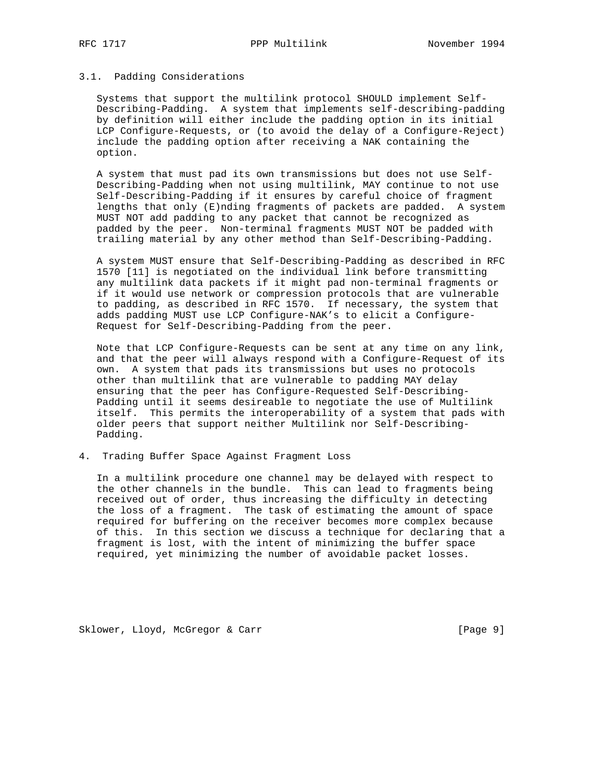# RFC 1717 **PPP Multilink** November 1994

## 3.1. Padding Considerations

 Systems that support the multilink protocol SHOULD implement Self- Describing-Padding. A system that implements self-describing-padding by definition will either include the padding option in its initial LCP Configure-Requests, or (to avoid the delay of a Configure-Reject) include the padding option after receiving a NAK containing the option.

 A system that must pad its own transmissions but does not use Self- Describing-Padding when not using multilink, MAY continue to not use Self-Describing-Padding if it ensures by careful choice of fragment lengths that only (E)nding fragments of packets are padded. A system MUST NOT add padding to any packet that cannot be recognized as padded by the peer. Non-terminal fragments MUST NOT be padded with trailing material by any other method than Self-Describing-Padding.

 A system MUST ensure that Self-Describing-Padding as described in RFC 1570 [11] is negotiated on the individual link before transmitting any multilink data packets if it might pad non-terminal fragments or if it would use network or compression protocols that are vulnerable to padding, as described in RFC 1570. If necessary, the system that adds padding MUST use LCP Configure-NAK's to elicit a Configure- Request for Self-Describing-Padding from the peer.

 Note that LCP Configure-Requests can be sent at any time on any link, and that the peer will always respond with a Configure-Request of its own. A system that pads its transmissions but uses no protocols other than multilink that are vulnerable to padding MAY delay ensuring that the peer has Configure-Requested Self-Describing- Padding until it seems desireable to negotiate the use of Multilink itself. This permits the interoperability of a system that pads with older peers that support neither Multilink nor Self-Describing- Padding.

4. Trading Buffer Space Against Fragment Loss

 In a multilink procedure one channel may be delayed with respect to the other channels in the bundle. This can lead to fragments being received out of order, thus increasing the difficulty in detecting the loss of a fragment. The task of estimating the amount of space required for buffering on the receiver becomes more complex because of this. In this section we discuss a technique for declaring that a fragment is lost, with the intent of minimizing the buffer space required, yet minimizing the number of avoidable packet losses.

Sklower, Lloyd, McGregor & Carr [Page 9]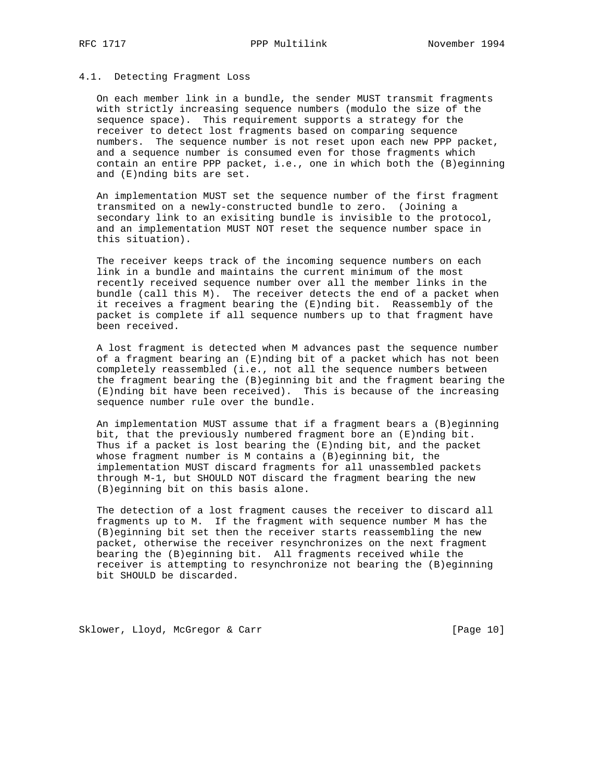### 4.1. Detecting Fragment Loss

 On each member link in a bundle, the sender MUST transmit fragments with strictly increasing sequence numbers (modulo the size of the sequence space). This requirement supports a strategy for the receiver to detect lost fragments based on comparing sequence numbers. The sequence number is not reset upon each new PPP packet, and a sequence number is consumed even for those fragments which contain an entire PPP packet, i.e., one in which both the (B)eginning and (E)nding bits are set.

 An implementation MUST set the sequence number of the first fragment transmited on a newly-constructed bundle to zero. (Joining a secondary link to an exisiting bundle is invisible to the protocol, and an implementation MUST NOT reset the sequence number space in this situation).

 The receiver keeps track of the incoming sequence numbers on each link in a bundle and maintains the current minimum of the most recently received sequence number over all the member links in the bundle (call this M). The receiver detects the end of a packet when it receives a fragment bearing the (E)nding bit. Reassembly of the packet is complete if all sequence numbers up to that fragment have been received.

 A lost fragment is detected when M advances past the sequence number of a fragment bearing an (E)nding bit of a packet which has not been completely reassembled (i.e., not all the sequence numbers between the fragment bearing the (B)eginning bit and the fragment bearing the (E)nding bit have been received). This is because of the increasing sequence number rule over the bundle.

 An implementation MUST assume that if a fragment bears a (B)eginning bit, that the previously numbered fragment bore an (E)nding bit. Thus if a packet is lost bearing the (E)nding bit, and the packet whose fragment number is M contains a (B)eginning bit, the implementation MUST discard fragments for all unassembled packets through M-1, but SHOULD NOT discard the fragment bearing the new (B)eginning bit on this basis alone.

 The detection of a lost fragment causes the receiver to discard all fragments up to M. If the fragment with sequence number M has the (B)eginning bit set then the receiver starts reassembling the new packet, otherwise the receiver resynchronizes on the next fragment bearing the (B)eginning bit. All fragments received while the receiver is attempting to resynchronize not bearing the (B)eginning bit SHOULD be discarded.

Sklower, Lloyd, McGregor & Carr [Page 10]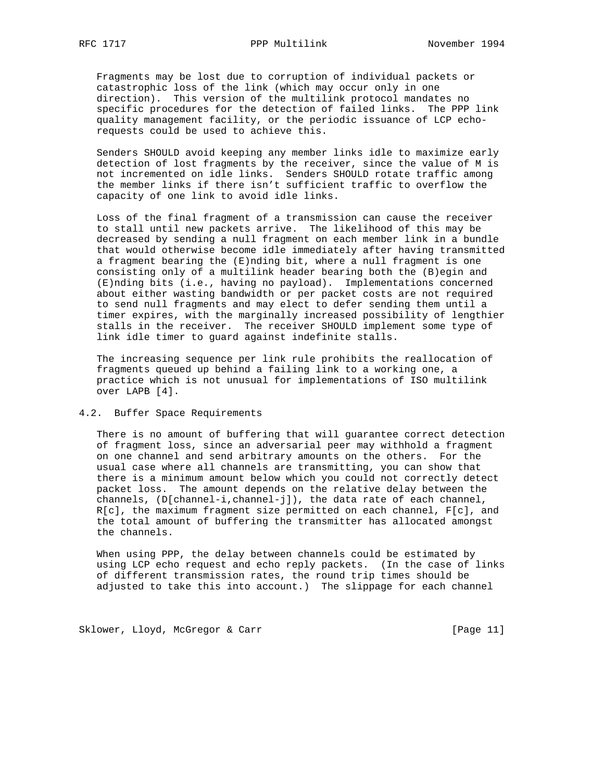Fragments may be lost due to corruption of individual packets or catastrophic loss of the link (which may occur only in one direction). This version of the multilink protocol mandates no specific procedures for the detection of failed links. The PPP link quality management facility, or the periodic issuance of LCP echo requests could be used to achieve this.

 Senders SHOULD avoid keeping any member links idle to maximize early detection of lost fragments by the receiver, since the value of M is not incremented on idle links. Senders SHOULD rotate traffic among the member links if there isn't sufficient traffic to overflow the capacity of one link to avoid idle links.

 Loss of the final fragment of a transmission can cause the receiver to stall until new packets arrive. The likelihood of this may be decreased by sending a null fragment on each member link in a bundle that would otherwise become idle immediately after having transmitted a fragment bearing the (E)nding bit, where a null fragment is one consisting only of a multilink header bearing both the (B)egin and (E)nding bits (i.e., having no payload). Implementations concerned about either wasting bandwidth or per packet costs are not required to send null fragments and may elect to defer sending them until a timer expires, with the marginally increased possibility of lengthier stalls in the receiver. The receiver SHOULD implement some type of link idle timer to guard against indefinite stalls.

 The increasing sequence per link rule prohibits the reallocation of fragments queued up behind a failing link to a working one, a practice which is not unusual for implementations of ISO multilink over LAPB [4].

### 4.2. Buffer Space Requirements

 There is no amount of buffering that will guarantee correct detection of fragment loss, since an adversarial peer may withhold a fragment on one channel and send arbitrary amounts on the others. For the usual case where all channels are transmitting, you can show that there is a minimum amount below which you could not correctly detect packet loss. The amount depends on the relative delay between the channels, (D[channel-i,channel-j]), the data rate of each channel, R[c], the maximum fragment size permitted on each channel, F[c], and the total amount of buffering the transmitter has allocated amongst the channels.

 When using PPP, the delay between channels could be estimated by using LCP echo request and echo reply packets. (In the case of links of different transmission rates, the round trip times should be adjusted to take this into account.) The slippage for each channel

Sklower, Lloyd, McGregor & Carr [Page 11]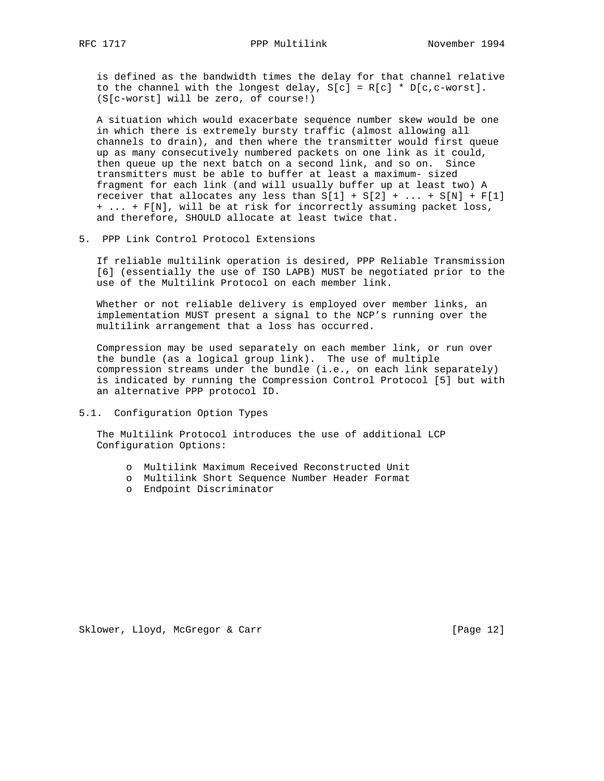is defined as the bandwidth times the delay for that channel relative to the channel with the longest delay,  $S[c] = R[c] * D[c, c-worst]$ . (S[c-worst] will be zero, of course!)

 A situation which would exacerbate sequence number skew would be one in which there is extremely bursty traffic (almost allowing all channels to drain), and then where the transmitter would first queue up as many consecutively numbered packets on one link as it could, then queue up the next batch on a second link, and so on. Since transmitters must be able to buffer at least a maximum- sized fragment for each link (and will usually buffer up at least two) A receiver that allocates any less than  $S[1] + S[2] + ... + S[N] + F[1]$  + ... + F[N], will be at risk for incorrectly assuming packet loss, and therefore, SHOULD allocate at least twice that.

### 5. PPP Link Control Protocol Extensions

 If reliable multilink operation is desired, PPP Reliable Transmission [6] (essentially the use of ISO LAPB) MUST be negotiated prior to the use of the Multilink Protocol on each member link.

 Whether or not reliable delivery is employed over member links, an implementation MUST present a signal to the NCP's running over the multilink arrangement that a loss has occurred.

 Compression may be used separately on each member link, or run over the bundle (as a logical group link). The use of multiple compression streams under the bundle (i.e., on each link separately) is indicated by running the Compression Control Protocol [5] but with an alternative PPP protocol ID.

5.1. Configuration Option Types

 The Multilink Protocol introduces the use of additional LCP Configuration Options:

- o Multilink Maximum Received Reconstructed Unit
- o Multilink Short Sequence Number Header Format
- o Endpoint Discriminator

Sklower, Lloyd, McGregor & Carr [Page 12]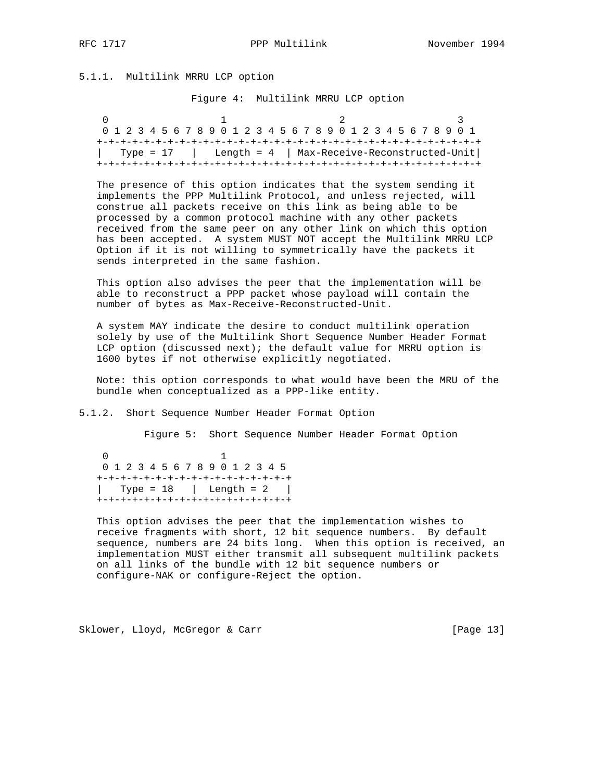## 5.1.1. Multilink MRRU LCP option

Figure 4: Multilink MRRU LCP option

| 0 1 2 3 4 5 6 7 8 9 0 1 2 3 4 5 6 7 8 9 0 1 2 3 4 5 6 7 8 9 0 1 |  |
|-----------------------------------------------------------------|--|
| Type = 17   Length = $4$   Max-Receive-Reconstructed-Unit       |  |

 The presence of this option indicates that the system sending it implements the PPP Multilink Protocol, and unless rejected, will construe all packets receive on this link as being able to be processed by a common protocol machine with any other packets received from the same peer on any other link on which this option has been accepted. A system MUST NOT accept the Multilink MRRU LCP Option if it is not willing to symmetrically have the packets it sends interpreted in the same fashion.

 This option also advises the peer that the implementation will be able to reconstruct a PPP packet whose payload will contain the number of bytes as Max-Receive-Reconstructed-Unit.

 A system MAY indicate the desire to conduct multilink operation solely by use of the Multilink Short Sequence Number Header Format LCP option (discussed next); the default value for MRRU option is 1600 bytes if not otherwise explicitly negotiated.

 Note: this option corresponds to what would have been the MRU of the bundle when conceptualized as a PPP-like entity.

5.1.2. Short Sequence Number Header Format Option

Figure 5: Short Sequence Number Header Format Option

 0 1 0 1 2 3 4 5 6 7 8 9 0 1 2 3 4 5 +-+-+-+-+-+-+-+-+-+-+-+-+-+-+-+-+  $\text{Type} = 18$  | Length = 2 | +-+-+-+-+-+-+-+-+-+-+-+-+-+-+-+-+

 This option advises the peer that the implementation wishes to receive fragments with short, 12 bit sequence numbers. By default sequence, numbers are 24 bits long. When this option is received, an implementation MUST either transmit all subsequent multilink packets on all links of the bundle with 12 bit sequence numbers or configure-NAK or configure-Reject the option.

Sklower, Lloyd, McGregor & Carr [Page 13]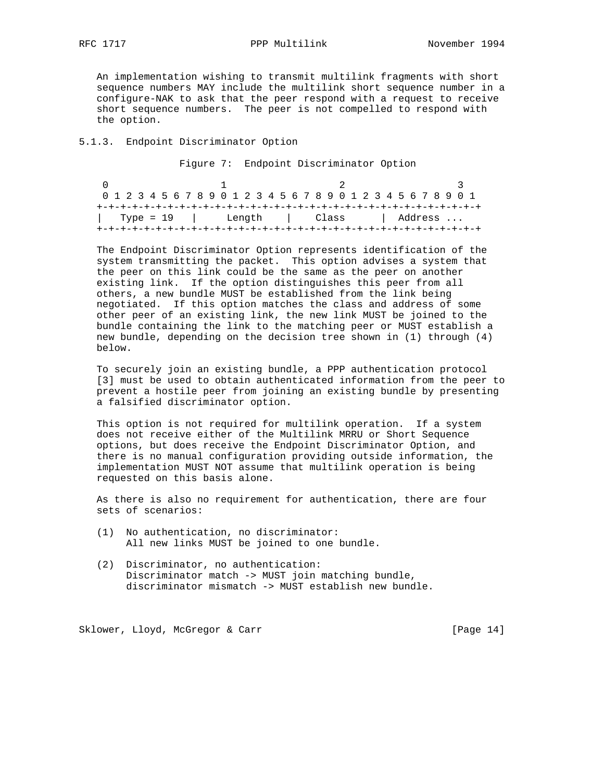An implementation wishing to transmit multilink fragments with short sequence numbers MAY include the multilink short sequence number in a configure-NAK to ask that the peer respond with a request to receive short sequence numbers. The peer is not compelled to respond with the option.

### 5.1.3. Endpoint Discriminator Option

Figure 7: Endpoint Discriminator Option

| 0 1 2 3 4 5 6 7 8 9 0 1 2 3 4 5 6 7 8 9 0 1 2 3 4 5 6 7 8 9 0 1 |  |  |  |  |  |                          |  |  |  |  |  |  |  |  |  |  |  |  |  |  |  |  |  |  |  |  |
|-----------------------------------------------------------------|--|--|--|--|--|--------------------------|--|--|--|--|--|--|--|--|--|--|--|--|--|--|--|--|--|--|--|--|
|                                                                 |  |  |  |  |  |                          |  |  |  |  |  |  |  |  |  |  |  |  |  |  |  |  |  |  |  |  |
| Type = 19                                                       |  |  |  |  |  | Length   Class   Address |  |  |  |  |  |  |  |  |  |  |  |  |  |  |  |  |  |  |  |  |
|                                                                 |  |  |  |  |  |                          |  |  |  |  |  |  |  |  |  |  |  |  |  |  |  |  |  |  |  |  |

 The Endpoint Discriminator Option represents identification of the system transmitting the packet. This option advises a system that the peer on this link could be the same as the peer on another existing link. If the option distinguishes this peer from all others, a new bundle MUST be established from the link being negotiated. If this option matches the class and address of some other peer of an existing link, the new link MUST be joined to the bundle containing the link to the matching peer or MUST establish a new bundle, depending on the decision tree shown in (1) through (4) below.

 To securely join an existing bundle, a PPP authentication protocol [3] must be used to obtain authenticated information from the peer to prevent a hostile peer from joining an existing bundle by presenting a falsified discriminator option.

 This option is not required for multilink operation. If a system does not receive either of the Multilink MRRU or Short Sequence options, but does receive the Endpoint Discriminator Option, and there is no manual configuration providing outside information, the implementation MUST NOT assume that multilink operation is being requested on this basis alone.

 As there is also no requirement for authentication, there are four sets of scenarios:

- (1) No authentication, no discriminator: All new links MUST be joined to one bundle.
- (2) Discriminator, no authentication: Discriminator match -> MUST join matching bundle, discriminator mismatch -> MUST establish new bundle.

Sklower, Lloyd, McGregor & Carr [Page 14]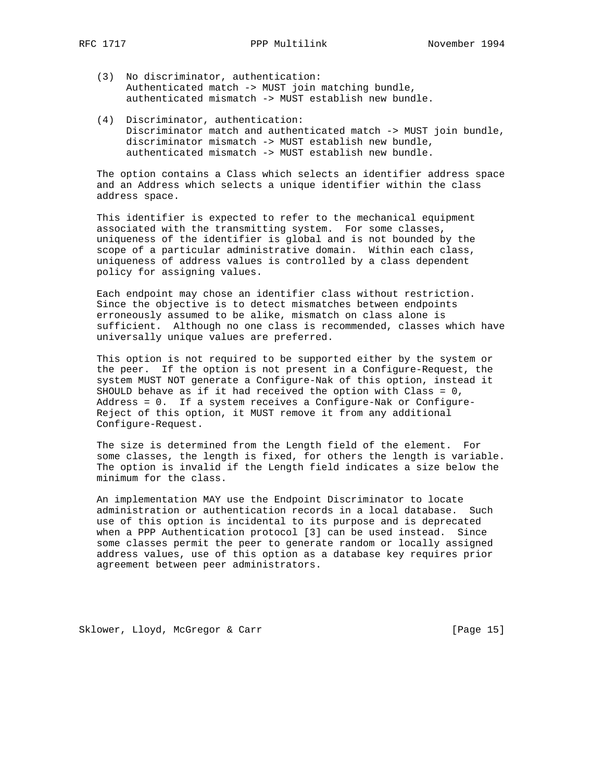- - (3) No discriminator, authentication: Authenticated match -> MUST join matching bundle, authenticated mismatch -> MUST establish new bundle.
	- (4) Discriminator, authentication: Discriminator match and authenticated match -> MUST join bundle, discriminator mismatch -> MUST establish new bundle, authenticated mismatch -> MUST establish new bundle.

 The option contains a Class which selects an identifier address space and an Address which selects a unique identifier within the class address space.

 This identifier is expected to refer to the mechanical equipment associated with the transmitting system. For some classes, uniqueness of the identifier is global and is not bounded by the scope of a particular administrative domain. Within each class, uniqueness of address values is controlled by a class dependent policy for assigning values.

 Each endpoint may chose an identifier class without restriction. Since the objective is to detect mismatches between endpoints erroneously assumed to be alike, mismatch on class alone is sufficient. Although no one class is recommended, classes which have universally unique values are preferred.

 This option is not required to be supported either by the system or the peer. If the option is not present in a Configure-Request, the system MUST NOT generate a Configure-Nak of this option, instead it SHOULD behave as if it had received the option with Class = 0, Address = 0. If a system receives a Configure-Nak or Configure- Reject of this option, it MUST remove it from any additional Configure-Request.

 The size is determined from the Length field of the element. For some classes, the length is fixed, for others the length is variable. The option is invalid if the Length field indicates a size below the minimum for the class.

 An implementation MAY use the Endpoint Discriminator to locate administration or authentication records in a local database. Such use of this option is incidental to its purpose and is deprecated when a PPP Authentication protocol [3] can be used instead. Since some classes permit the peer to generate random or locally assigned address values, use of this option as a database key requires prior agreement between peer administrators.

Sklower, Lloyd, McGregor & Carr [Page 15]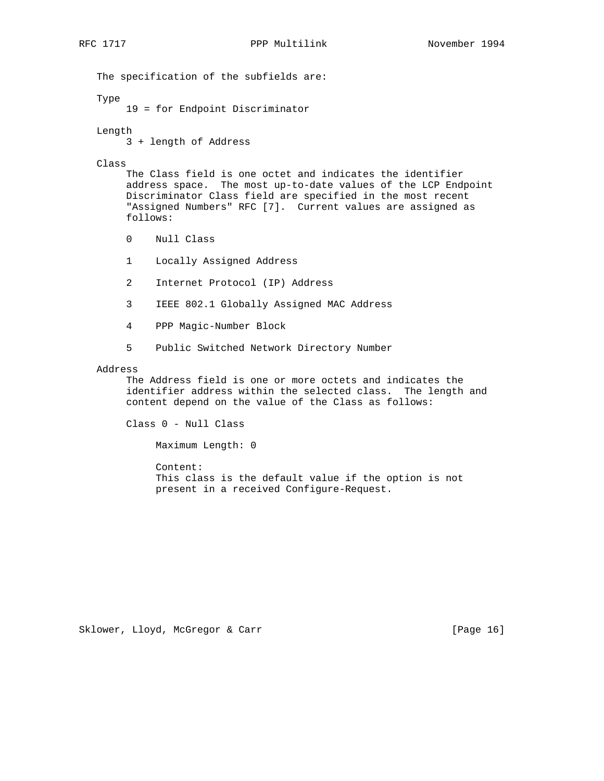The specification of the subfields are: Type 19 = for Endpoint Discriminator Length 3 + length of Address Class The Class field is one octet and indicates the identifier address space. The most up-to-date values of the LCP Endpoint Discriminator Class field are specified in the most recent "Assigned Numbers" RFC [7]. Current values are assigned as follows: 0 Null Class 1 Locally Assigned Address 2 Internet Protocol (IP) Address 3 IEEE 802.1 Globally Assigned MAC Address 4 PPP Magic-Number Block 5 Public Switched Network Directory Number Address The Address field is one or more octets and indicates the identifier address within the selected class. The length and content depend on the value of the Class as follows: Class 0 - Null Class Maximum Length: 0

> Content: This class is the default value if the option is not present in a received Configure-Request.

Sklower, Lloyd, McGregor & Carr [Page 16]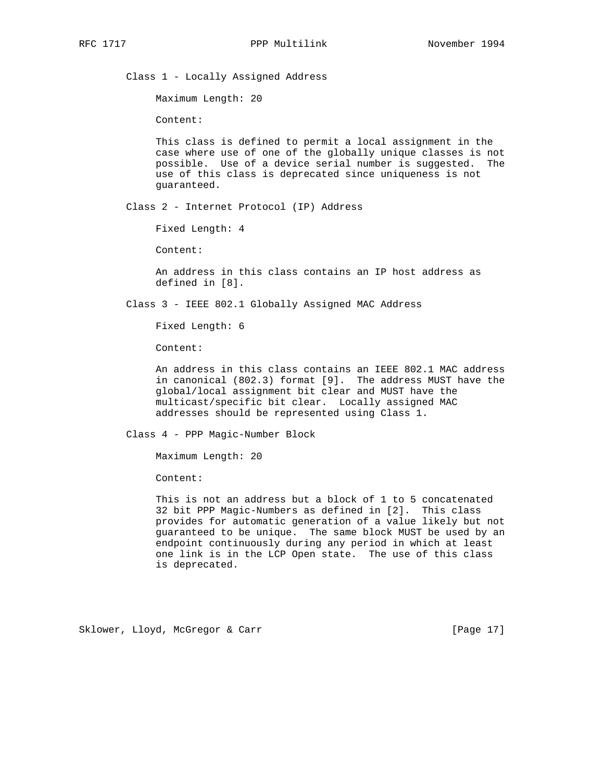Class 1 - Locally Assigned Address

Maximum Length: 20

Content:

 This class is defined to permit a local assignment in the case where use of one of the globally unique classes is not possible. Use of a device serial number is suggested. The use of this class is deprecated since uniqueness is not guaranteed.

Class 2 - Internet Protocol (IP) Address

Fixed Length: 4

Content:

 An address in this class contains an IP host address as defined in [8].

Class 3 - IEEE 802.1 Globally Assigned MAC Address

Fixed Length: 6

Content:

 An address in this class contains an IEEE 802.1 MAC address in canonical (802.3) format [9]. The address MUST have the global/local assignment bit clear and MUST have the multicast/specific bit clear. Locally assigned MAC addresses should be represented using Class 1.

Class 4 - PPP Magic-Number Block

Maximum Length: 20

Content:

 This is not an address but a block of 1 to 5 concatenated 32 bit PPP Magic-Numbers as defined in [2]. This class provides for automatic generation of a value likely but not guaranteed to be unique. The same block MUST be used by an endpoint continuously during any period in which at least one link is in the LCP Open state. The use of this class is deprecated.

Sklower, Lloyd, McGregor & Carr [Page 17]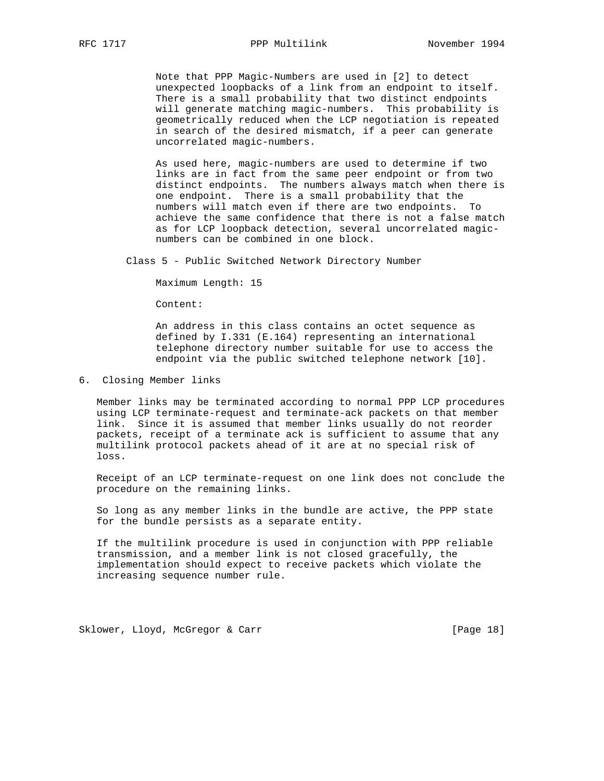Note that PPP Magic-Numbers are used in [2] to detect unexpected loopbacks of a link from an endpoint to itself. There is a small probability that two distinct endpoints will generate matching magic-numbers. This probability is geometrically reduced when the LCP negotiation is repeated in search of the desired mismatch, if a peer can generate uncorrelated magic-numbers.

 As used here, magic-numbers are used to determine if two links are in fact from the same peer endpoint or from two distinct endpoints. The numbers always match when there is one endpoint. There is a small probability that the numbers will match even if there are two endpoints. To achieve the same confidence that there is not a false match as for LCP loopback detection, several uncorrelated magic numbers can be combined in one block.

Class 5 - Public Switched Network Directory Number

Maximum Length: 15

Content:

 An address in this class contains an octet sequence as defined by I.331 (E.164) representing an international telephone directory number suitable for use to access the endpoint via the public switched telephone network [10].

6. Closing Member links

 Member links may be terminated according to normal PPP LCP procedures using LCP terminate-request and terminate-ack packets on that member link. Since it is assumed that member links usually do not reorder packets, receipt of a terminate ack is sufficient to assume that any multilink protocol packets ahead of it are at no special risk of loss.

 Receipt of an LCP terminate-request on one link does not conclude the procedure on the remaining links.

 So long as any member links in the bundle are active, the PPP state for the bundle persists as a separate entity.

 If the multilink procedure is used in conjunction with PPP reliable transmission, and a member link is not closed gracefully, the implementation should expect to receive packets which violate the increasing sequence number rule.

Sklower, Lloyd, McGregor & Carr [Page 18]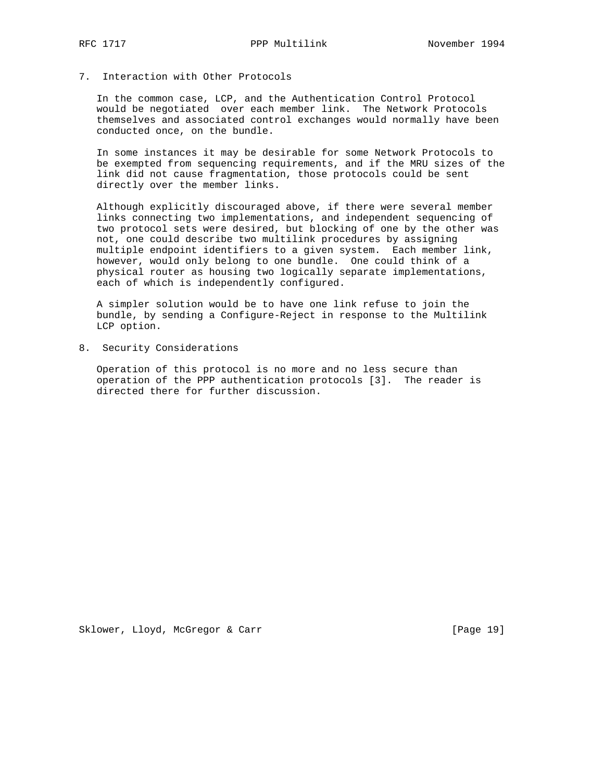## 7. Interaction with Other Protocols

 In the common case, LCP, and the Authentication Control Protocol would be negotiated over each member link. The Network Protocols themselves and associated control exchanges would normally have been conducted once, on the bundle.

 In some instances it may be desirable for some Network Protocols to be exempted from sequencing requirements, and if the MRU sizes of the link did not cause fragmentation, those protocols could be sent directly over the member links.

 Although explicitly discouraged above, if there were several member links connecting two implementations, and independent sequencing of two protocol sets were desired, but blocking of one by the other was not, one could describe two multilink procedures by assigning multiple endpoint identifiers to a given system. Each member link, however, would only belong to one bundle. One could think of a physical router as housing two logically separate implementations, each of which is independently configured.

 A simpler solution would be to have one link refuse to join the bundle, by sending a Configure-Reject in response to the Multilink LCP option.

8. Security Considerations

 Operation of this protocol is no more and no less secure than operation of the PPP authentication protocols [3]. The reader is directed there for further discussion.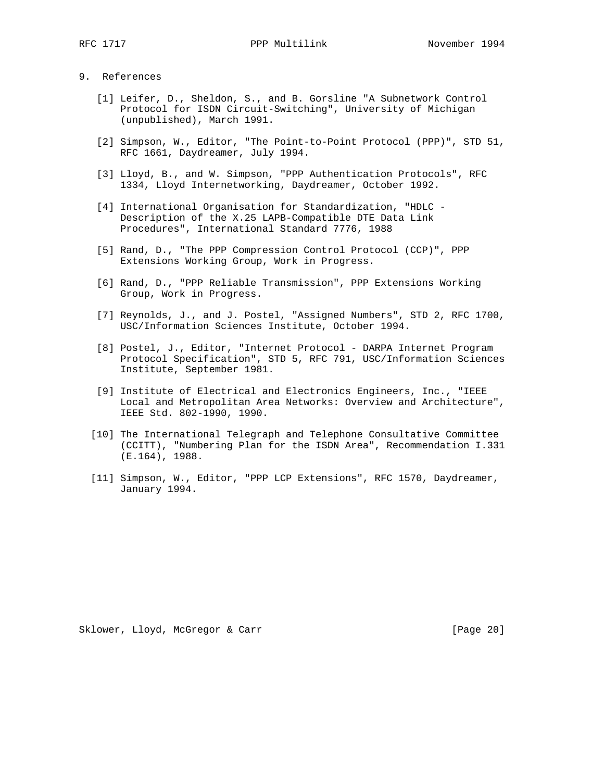## 9. References

- [1] Leifer, D., Sheldon, S., and B. Gorsline "A Subnetwork Control Protocol for ISDN Circuit-Switching", University of Michigan (unpublished), March 1991.
- [2] Simpson, W., Editor, "The Point-to-Point Protocol (PPP)", STD 51, RFC 1661, Daydreamer, July 1994.
- [3] Lloyd, B., and W. Simpson, "PPP Authentication Protocols", RFC 1334, Lloyd Internetworking, Daydreamer, October 1992.
- [4] International Organisation for Standardization, "HDLC Description of the X.25 LAPB-Compatible DTE Data Link Procedures", International Standard 7776, 1988
- [5] Rand, D., "The PPP Compression Control Protocol (CCP)", PPP Extensions Working Group, Work in Progress.
- [6] Rand, D., "PPP Reliable Transmission", PPP Extensions Working Group, Work in Progress.
- [7] Reynolds, J., and J. Postel, "Assigned Numbers", STD 2, RFC 1700, USC/Information Sciences Institute, October 1994.
- [8] Postel, J., Editor, "Internet Protocol DARPA Internet Program Protocol Specification", STD 5, RFC 791, USC/Information Sciences Institute, September 1981.
- [9] Institute of Electrical and Electronics Engineers, Inc., "IEEE Local and Metropolitan Area Networks: Overview and Architecture", IEEE Std. 802-1990, 1990.
- [10] The International Telegraph and Telephone Consultative Committee (CCITT), "Numbering Plan for the ISDN Area", Recommendation I.331 (E.164), 1988.
- [11] Simpson, W., Editor, "PPP LCP Extensions", RFC 1570, Daydreamer, January 1994.

Sklower, Lloyd, McGregor & Carr [Page 20]